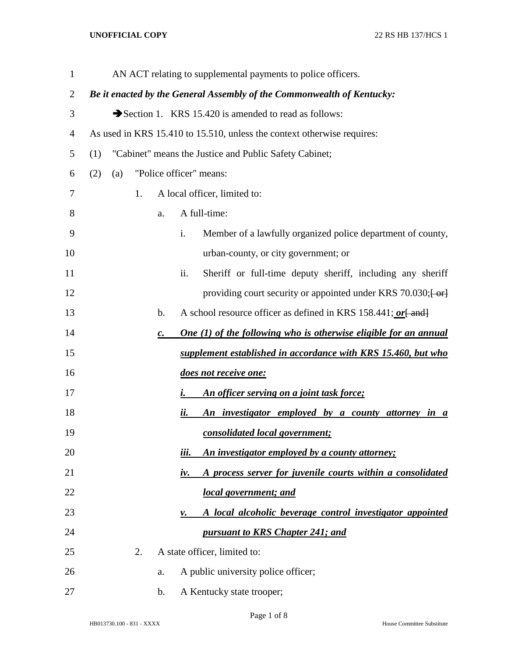## **UNOFFICIAL COPY** 22 RS HB 137/HCS 1

| $\mathbf{1}$ |     |     |    |                | AN ACT relating to supplemental payments to police officers.                                     |
|--------------|-----|-----|----|----------------|--------------------------------------------------------------------------------------------------|
| 2            |     |     |    |                | Be it enacted by the General Assembly of the Commonwealth of Kentucky:                           |
| 3            |     |     |    |                | Section 1. KRS 15.420 is amended to read as follows:                                             |
| 4            |     |     |    |                | As used in KRS 15.410 to 15.510, unless the context otherwise requires:                          |
| 5            | (1) |     |    |                | "Cabinet" means the Justice and Public Safety Cabinet;                                           |
| 6            | (2) | (a) |    |                | "Police officer" means:                                                                          |
| 7            |     |     | 1. |                | A local officer, limited to:                                                                     |
| 8            |     |     |    | a.             | A full-time:                                                                                     |
| 9            |     |     |    |                | Member of a lawfully organized police department of county,<br>i.                                |
| 10           |     |     |    |                | urban-county, or city government; or                                                             |
| 11           |     |     |    |                | Sheriff or full-time deputy sheriff, including any sheriff<br>ii.                                |
| 12           |     |     |    |                | providing court security or appointed under KRS 70.030; $\left\{ \frac{\alpha}{\alpha} \right\}$ |
| 13           |     |     |    | b.             | A school resource officer as defined in KRS 158.441; or [ and]                                   |
| 14           |     |     |    | $\mathbf{c}$ . | <b>One (1) of the following who is otherwise eligible for an annual</b>                          |
| 15           |     |     |    |                | supplement established in accordance with KRS 15.460, but who                                    |
| 16           |     |     |    |                | does not receive one:                                                                            |
| 17           |     |     |    |                | An officer serving on a joint task force;<br>i.                                                  |
| 18           |     |     |    |                | An investigator employed by a county attorney in a<br>ii.                                        |
| 19           |     |     |    |                | consolidated local government;                                                                   |
| 20           |     |     |    |                | iii.<br>An investigator employed by a county attorney;                                           |
| 21           |     |     |    |                | A process server for juvenile courts within a consolidated<br>iv.                                |
| 22           |     |     |    |                | <u>local government; and</u>                                                                     |
| 23           |     |     |    |                | A local alcoholic beverage control investigator appointed<br>ν.                                  |
| 24           |     |     |    |                | pursuant to KRS Chapter 241; and                                                                 |
| 25           |     |     | 2. |                | A state officer, limited to:                                                                     |
| 26           |     |     |    | a.             | A public university police officer;                                                              |
| 27           |     |     |    | b.             | A Kentucky state trooper;                                                                        |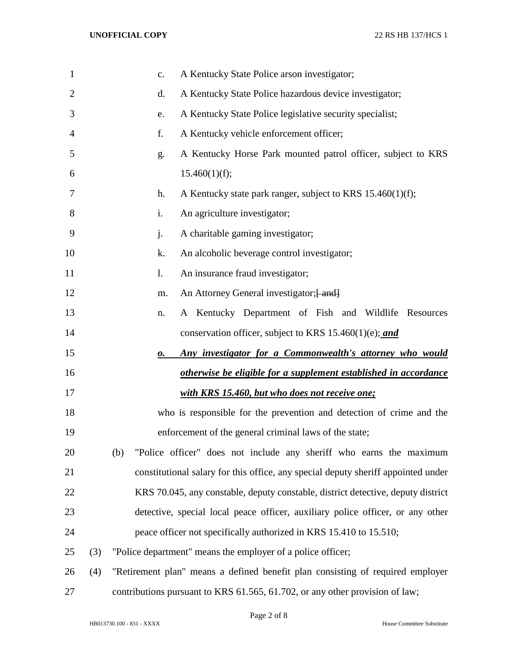| $\mathbf{1}$   |     | A Kentucky State Police arson investigator;<br>c.                                 |
|----------------|-----|-----------------------------------------------------------------------------------|
| $\overline{2}$ |     | A Kentucky State Police hazardous device investigator;<br>d.                      |
| 3              |     | A Kentucky State Police legislative security specialist;<br>e.                    |
| 4              |     | A Kentucky vehicle enforcement officer;<br>f.                                     |
| 5              |     | A Kentucky Horse Park mounted patrol officer, subject to KRS<br>g.                |
| 6              |     | 15.460(1)(f);                                                                     |
| 7              |     | A Kentucky state park ranger, subject to KRS 15.460(1)(f);<br>h.                  |
| 8              |     | An agriculture investigator;<br>i.                                                |
| 9              |     | A charitable gaming investigator;<br>j.                                           |
| 10             |     | An alcoholic beverage control investigator;<br>k.                                 |
| 11             |     | An insurance fraud investigator;<br>1.                                            |
| 12             |     | An Attorney General investigator; [ and]<br>m.                                    |
| 13             |     | A Kentucky Department of Fish and Wildlife Resources<br>n.                        |
| 14             |     | conservation officer, subject to KRS 15.460(1)(e); and                            |
| 15             |     | Any investigator for a Commonwealth's attorney who would<br>о.                    |
| 16             |     | otherwise be eligible for a supplement established in accordance                  |
| 17             |     | with KRS 15.460, but who does not receive one;                                    |
| 18             |     | who is responsible for the prevention and detection of crime and the              |
| 19             |     | enforcement of the general criminal laws of the state;                            |
| 20             |     | "Police officer" does not include any sheriff who earns the maximum<br>(b)        |
| 21             |     | constitutional salary for this office, any special deputy sheriff appointed under |
| 22             |     | KRS 70.045, any constable, deputy constable, district detective, deputy district  |
| 23             |     | detective, special local peace officer, auxiliary police officer, or any other    |
| 24             |     | peace officer not specifically authorized in KRS 15.410 to 15.510;                |
| 25             | (3) | "Police department" means the employer of a police officer;                       |
| 26             | (4) | "Retirement plan" means a defined benefit plan consisting of required employer    |
| 27             |     | contributions pursuant to KRS 61.565, 61.702, or any other provision of law;      |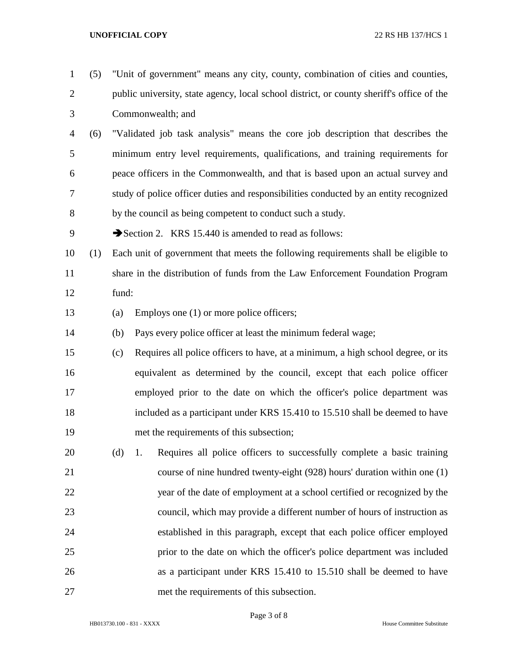## **UNOFFICIAL COPY** 22 RS HB 137/HCS 1

- (5) "Unit of government" means any city, county, combination of cities and counties, public university, state agency, local school district, or county sheriff's office of the Commonwealth; and (6) "Validated job task analysis" means the core job description that describes the minimum entry level requirements, qualifications, and training requirements for peace officers in the Commonwealth, and that is based upon an actual survey and
- study of police officer duties and responsibilities conducted by an entity recognized by the council as being competent to conduct such a study.

9 Section 2. KRS 15.440 is amended to read as follows:

- (1) Each unit of government that meets the following requirements shall be eligible to share in the distribution of funds from the Law Enforcement Foundation Program fund:
- (a) Employs one (1) or more police officers;
- (b) Pays every police officer at least the minimum federal wage;
- (c) Requires all police officers to have, at a minimum, a high school degree, or its equivalent as determined by the council, except that each police officer employed prior to the date on which the officer's police department was included as a participant under KRS 15.410 to 15.510 shall be deemed to have met the requirements of this subsection;
- (d) 1. Requires all police officers to successfully complete a basic training course of nine hundred twenty-eight (928) hours' duration within one (1) year of the date of employment at a school certified or recognized by the council, which may provide a different number of hours of instruction as established in this paragraph, except that each police officer employed prior to the date on which the officer's police department was included as a participant under KRS 15.410 to 15.510 shall be deemed to have met the requirements of this subsection.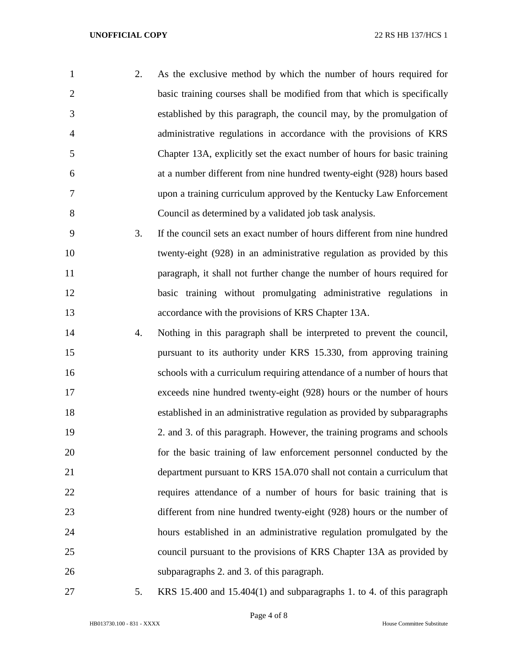| $\mathbf{1}$   | 2. | As the exclusive method by which the number of hours required for        |
|----------------|----|--------------------------------------------------------------------------|
| $\overline{2}$ |    | basic training courses shall be modified from that which is specifically |
| 3              |    | established by this paragraph, the council may, by the promulgation of   |
| $\overline{4}$ |    | administrative regulations in accordance with the provisions of KRS      |
| 5              |    | Chapter 13A, explicitly set the exact number of hours for basic training |
| 6              |    | at a number different from nine hundred twenty-eight (928) hours based   |
| 7              |    | upon a training curriculum approved by the Kentucky Law Enforcement      |
| 8              |    | Council as determined by a validated job task analysis.                  |
| 9              | 3. | If the council sets an exact number of hours different from nine hundred |
| 10             |    | twenty-eight (928) in an administrative regulation as provided by this   |
| 11             |    | paragraph, it shall not further change the number of hours required for  |
| 12             |    | basic training without promulgating administrative regulations in        |
| 13             |    | accordance with the provisions of KRS Chapter 13A.                       |
| 14             | 4. | Nothing in this paragraph shall be interpreted to prevent the council,   |
| 15             |    | pursuant to its authority under KRS 15.330, from approving training      |
| 16             |    | schools with a curriculum requiring attendance of a number of hours that |
| 17             |    | exceeds nine hundred twenty-eight (928) hours or the number of hours     |
| 18             |    | established in an administrative regulation as provided by subparagraphs |
| 19             |    | 2. and 3. of this paragraph. However, the training programs and schools  |
| 20             |    | for the basic training of law enforcement personnel conducted by the     |
| 21             |    | department pursuant to KRS 15A.070 shall not contain a curriculum that   |
| 22             |    | requires attendance of a number of hours for basic training that is      |
| 23             |    | different from nine hundred twenty-eight (928) hours or the number of    |
| 24             |    | hours established in an administrative regulation promulgated by the     |
| 25             |    | council pursuant to the provisions of KRS Chapter 13A as provided by     |
| 26             |    | subparagraphs 2. and 3. of this paragraph.                               |
| 27             | 5. | KRS 15.400 and 15.404(1) and subparagraphs 1. to 4. of this paragraph    |

Page 4 of 8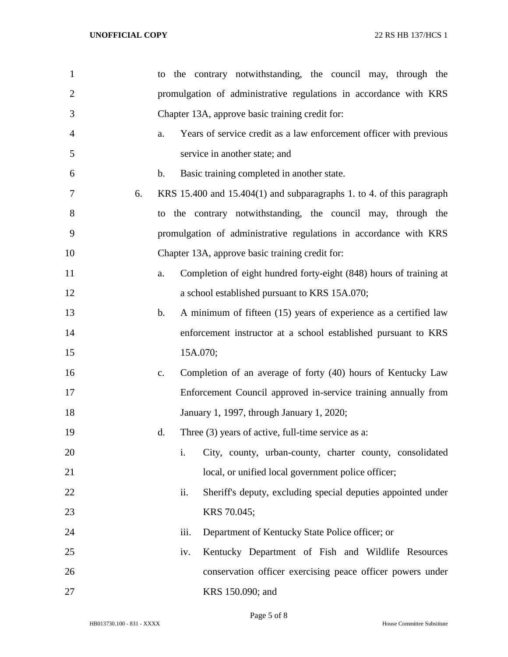| $\mathbf{1}$   | the contrary notwithstanding, the council may, through the<br>to                  |
|----------------|-----------------------------------------------------------------------------------|
| $\overline{2}$ | promulgation of administrative regulations in accordance with KRS                 |
| 3              | Chapter 13A, approve basic training credit for:                                   |
| $\overline{4}$ | Years of service credit as a law enforcement officer with previous<br>a.          |
| 5              | service in another state; and                                                     |
| 6              | Basic training completed in another state.<br>$\mathbf b$ .                       |
| 6.<br>7        | KRS 15.400 and 15.404(1) and subparagraphs 1. to 4. of this paragraph             |
| 8              | the contrary notwithstanding, the council may, through the<br>to                  |
| 9              | promulgation of administrative regulations in accordance with KRS                 |
| 10             | Chapter 13A, approve basic training credit for:                                   |
| 11             | Completion of eight hundred forty-eight (848) hours of training at<br>a.          |
| 12             | a school established pursuant to KRS 15A.070;                                     |
| 13             | $\mathbf b$ .<br>A minimum of fifteen (15) years of experience as a certified law |
| 14             | enforcement instructor at a school established pursuant to KRS                    |
| 15             | 15A.070;                                                                          |
| 16             | Completion of an average of forty (40) hours of Kentucky Law<br>c.                |
| 17             | Enforcement Council approved in-service training annually from                    |
| 18             | January 1, 1997, through January 1, 2020;                                         |
| 19             | Three (3) years of active, full-time service as a:<br>d.                          |
| 20             | i.<br>City, county, urban-county, charter county, consolidated                    |
| 21             | local, or unified local government police officer;                                |
| 22             | Sheriff's deputy, excluding special deputies appointed under<br>ii.               |
| 23             | KRS 70.045;                                                                       |
| 24             | iii.<br>Department of Kentucky State Police officer; or                           |
| 25             | Kentucky Department of Fish and Wildlife Resources<br>iv.                         |
| 26             | conservation officer exercising peace officer powers under                        |
| 27             | KRS 150.090; and                                                                  |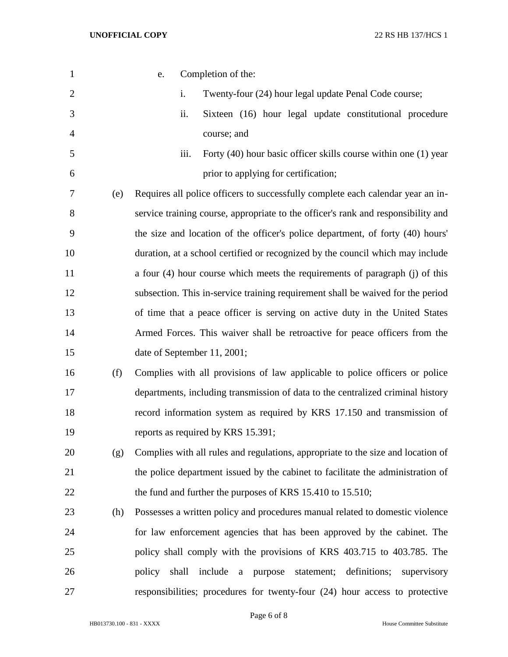| $\mathbf{1}$   |     | e.                                                                                |       | Completion of the:                   |              |         |            |                                                       |                                                                 |
|----------------|-----|-----------------------------------------------------------------------------------|-------|--------------------------------------|--------------|---------|------------|-------------------------------------------------------|-----------------------------------------------------------------|
| $\overline{2}$ |     |                                                                                   | i.    |                                      |              |         |            | Twenty-four (24) hour legal update Penal Code course; |                                                                 |
| 3              |     |                                                                                   | ii.   |                                      |              |         |            |                                                       | Sixteen (16) hour legal update constitutional procedure         |
| 4              |     |                                                                                   |       | course; and                          |              |         |            |                                                       |                                                                 |
| 5              |     |                                                                                   | iii.  |                                      |              |         |            |                                                       | Forty (40) hour basic officer skills course within one (1) year |
| 6              |     |                                                                                   |       | prior to applying for certification; |              |         |            |                                                       |                                                                 |
| 7              | (e) | Requires all police officers to successfully complete each calendar year an in-   |       |                                      |              |         |            |                                                       |                                                                 |
| 8              |     | service training course, appropriate to the officer's rank and responsibility and |       |                                      |              |         |            |                                                       |                                                                 |
| 9              |     | the size and location of the officer's police department, of forty (40) hours'    |       |                                      |              |         |            |                                                       |                                                                 |
| 10             |     | duration, at a school certified or recognized by the council which may include    |       |                                      |              |         |            |                                                       |                                                                 |
| 11             |     | a four (4) hour course which meets the requirements of paragraph (j) of this      |       |                                      |              |         |            |                                                       |                                                                 |
| 12             |     | subsection. This in-service training requirement shall be waived for the period   |       |                                      |              |         |            |                                                       |                                                                 |
| 13             |     | of time that a peace officer is serving on active duty in the United States       |       |                                      |              |         |            |                                                       |                                                                 |
| 14             |     | Armed Forces. This waiver shall be retroactive for peace officers from the        |       |                                      |              |         |            |                                                       |                                                                 |
| 15             |     | date of September 11, 2001;                                                       |       |                                      |              |         |            |                                                       |                                                                 |
| 16             | (f) | Complies with all provisions of law applicable to police officers or police       |       |                                      |              |         |            |                                                       |                                                                 |
| 17             |     | departments, including transmission of data to the centralized criminal history   |       |                                      |              |         |            |                                                       |                                                                 |
| 18             |     | record information system as required by KRS 17.150 and transmission of           |       |                                      |              |         |            |                                                       |                                                                 |
| 19             |     | reports as required by KRS 15.391;                                                |       |                                      |              |         |            |                                                       |                                                                 |
| 20             | (g) | Complies with all rules and regulations, appropriate to the size and location of  |       |                                      |              |         |            |                                                       |                                                                 |
| 21             |     | the police department issued by the cabinet to facilitate the administration of   |       |                                      |              |         |            |                                                       |                                                                 |
| 22             |     | the fund and further the purposes of KRS 15.410 to 15.510;                        |       |                                      |              |         |            |                                                       |                                                                 |
| 23             | (h) | Possesses a written policy and procedures manual related to domestic violence     |       |                                      |              |         |            |                                                       |                                                                 |
| 24             |     | for law enforcement agencies that has been approved by the cabinet. The           |       |                                      |              |         |            |                                                       |                                                                 |
| 25             |     | policy shall comply with the provisions of KRS 403.715 to 403.785. The            |       |                                      |              |         |            |                                                       |                                                                 |
| 26             |     | policy                                                                            | shall | include                              | $\mathbf{a}$ | purpose | statement; | definitions;                                          | supervisory                                                     |
| 27             |     | responsibilities; procedures for twenty-four (24) hour access to protective       |       |                                      |              |         |            |                                                       |                                                                 |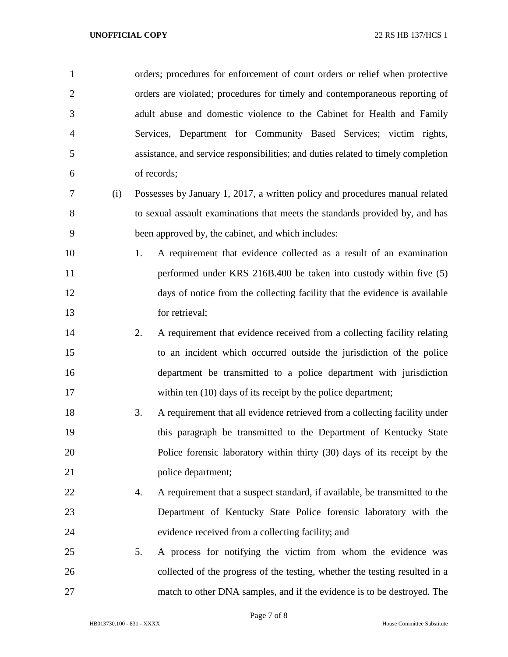| $\mathbf{1}$   |     | orders; procedures for enforcement of court orders or relief when protective      |
|----------------|-----|-----------------------------------------------------------------------------------|
| $\overline{2}$ |     | orders are violated; procedures for timely and contemporaneous reporting of       |
| 3              |     | adult abuse and domestic violence to the Cabinet for Health and Family            |
| $\overline{4}$ |     | Services, Department for Community Based Services; victim rights,                 |
| 5              |     | assistance, and service responsibilities; and duties related to timely completion |
| 6              |     | of records;                                                                       |
| 7              | (i) | Possesses by January 1, 2017, a written policy and procedures manual related      |
| 8              |     | to sexual assault examinations that meets the standards provided by, and has      |
| 9              |     | been approved by, the cabinet, and which includes:                                |
| 10             |     | A requirement that evidence collected as a result of an examination<br>1.         |
| 11             |     | performed under KRS 216B.400 be taken into custody within five (5)                |
| 12             |     | days of notice from the collecting facility that the evidence is available        |
| 13             |     | for retrieval;                                                                    |
| 14             |     | 2.<br>A requirement that evidence received from a collecting facility relating    |
| 15             |     | to an incident which occurred outside the jurisdiction of the police              |
| 16             |     | department be transmitted to a police department with jurisdiction                |
| 17             |     | within ten (10) days of its receipt by the police department;                     |
| 18             |     | 3.<br>A requirement that all evidence retrieved from a collecting facility under  |
| 19             |     | this paragraph be transmitted to the Department of Kentucky State                 |
| 20             |     | Police forensic laboratory within thirty (30) days of its receipt by the          |
| 21             |     | police department;                                                                |
| 22             |     | A requirement that a suspect standard, if available, be transmitted to the<br>4.  |
| 23             |     | Department of Kentucky State Police forensic laboratory with the                  |
| 24             |     | evidence received from a collecting facility; and                                 |
| 25             |     | A process for notifying the victim from whom the evidence was<br>5.               |
| 26             |     | collected of the progress of the testing, whether the testing resulted in a       |
| 27             |     | match to other DNA samples, and if the evidence is to be destroyed. The           |